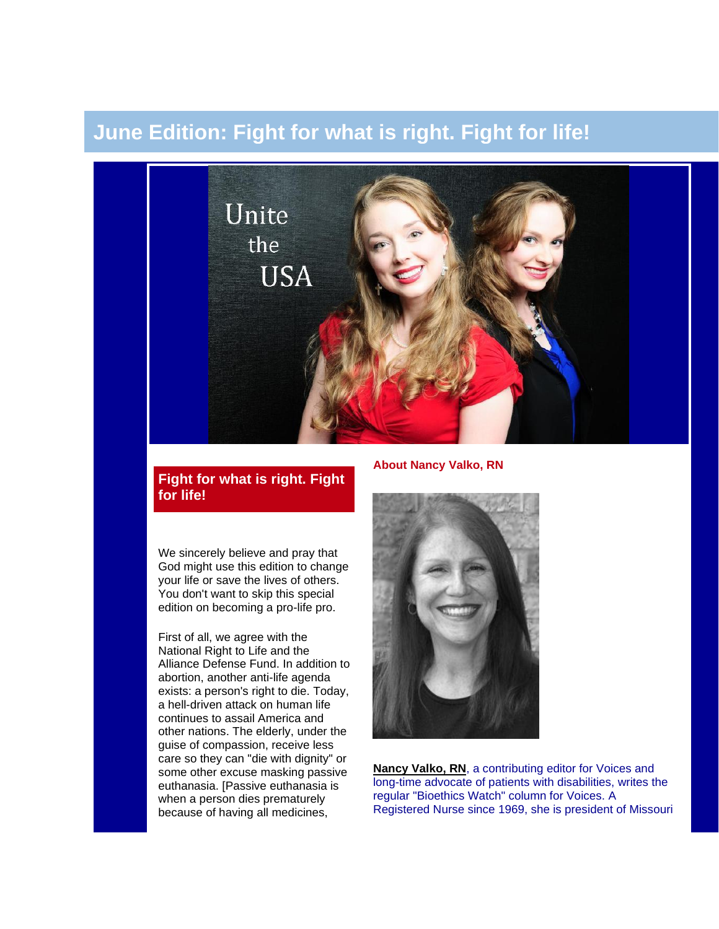# **June Edition: Fight for what is right. Fight for life!**



# **Fight for what is right. Fight for life!**

We sincerely believe and pray that God might use this edition to change your life or save the lives of others. You don't want to skip this special edition on becoming a pro-life pro.

First of all, we agree with the National Right to Life and the Alliance Defense Fund. In addition to abortion, another anti-life agenda exists: a person's right to die. Today, a hell-driven attack on human life continues to assail America and other nations. The elderly, under the guise of compassion, receive less care so they can "die with dignity" or some other excuse masking passive euthanasia. [Passive euthanasia is when a person dies prematurely because of having all medicines,

**About Nancy Valko, RN**



**[Nancy Valko, RN](http://www.wf-f.org/bd-nvalko.html)**, a contributing editor for Voices and long-time advocate of patients with disabilities, writes the regular "Bioethics Watch" column for Voices. A Registered Nurse since 1969, she is president of Missouri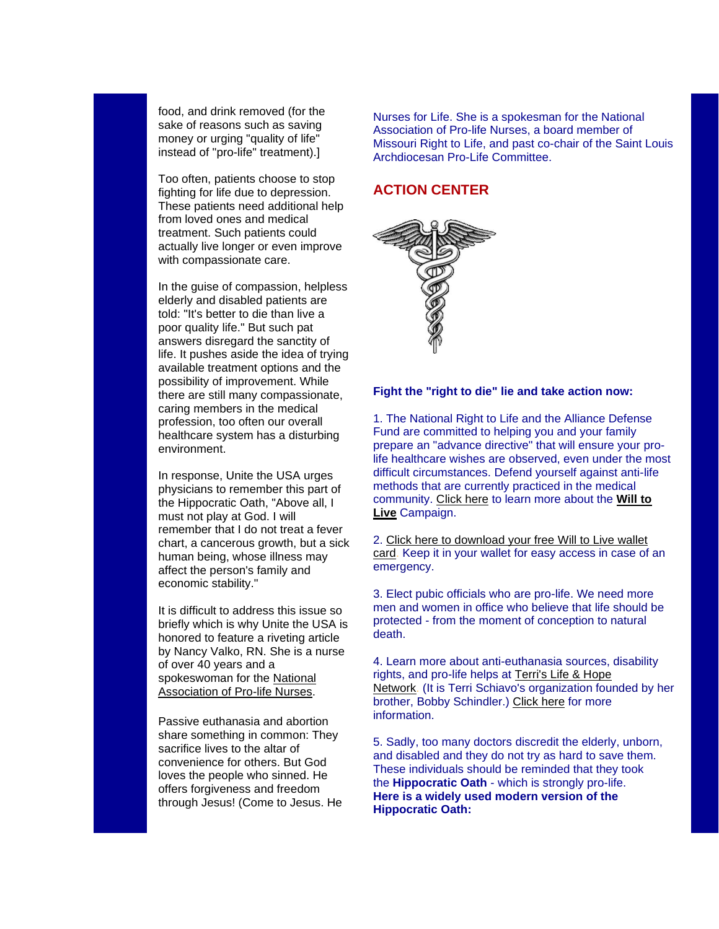food, and drink removed (for the sake of reasons such as saving money or urging "quality of life" instead of "pro-life" treatment).]

Too often, patients choose to stop fighting for life due to depression. These patients need additional help from loved ones and medical treatment. Such patients could actually live longer or even improve with compassionate care.

In the guise of compassion, helpless elderly and disabled patients are told: "It's better to die than live a poor quality life." But such pat answers disregard the sanctity of life. It pushes aside the idea of trying available treatment options and the possibility of improvement. While there are still many compassionate, caring members in the medical profession, too often our overall healthcare system has a disturbing environment.

In response, Unite the USA urges physicians to remember this part of the Hippocratic Oath, "Above all, I must not play at God. I will remember that I do not treat a fever chart, a cancerous growth, but a sick human being, whose illness may affect the person's family and economic stability."

It is difficult to address this issue so briefly which is why Unite the USA is honored to feature a riveting article by Nancy Valko, RN. She is a nurse of over 40 years and a spokeswoman for the [National](http://www.nursesforlife.org/)  [Association of Pro-life Nurses.](http://www.nursesforlife.org/)

Passive euthanasia and abortion share something in common: They sacrifice lives to the altar of convenience for others. But God loves the people who sinned. He offers forgiveness and freedom through Jesus! (Come to Jesus. He Nurses for Life. She is a spokesman for the National Association of Pro-life Nurses, a board member of Missouri Right to Life, and past co-chair of the Saint Louis Archdiocesan Pro-Life Committee.

# **ACTION CENTER**



# **Fight the "right to die" lie and take action now:**

1. The National Right to Life and the Alliance Defense Fund are committed to helping you and your family prepare an "advance directive" that will ensure your prolife healthcare wishes are observed, even under the most difficult circumstances. Defend yourself against anti-life methods that are currently practiced in the medical community. [Click here](https://www.alliancedefensefund.org/willtolive) to learn more about the **[Will to](https://www.alliancedefensefund.org/willtolive)  [Live](https://www.alliancedefensefund.org/willtolive)** Campaign.

2. [Click here to download your free Will to Live wallet](https://www.alliancedefensefund.org/content/pdf/WTL_card.pdf)  [card.](https://www.alliancedefensefund.org/content/pdf/WTL_card.pdf) Keep it in your wallet for easy access in case of an emergency.

3. Elect pubic officials who are pro-life. We need more men and women in office who believe that life should be protected - from the moment of conception to natural death.

4. Learn more about anti-euthanasia sources, disability rights, and pro-life helps at [Terri's Life & Hope](http://www.terrisfight.org/the-pvs-diagnosis/)  [Network.](http://www.terrisfight.org/the-pvs-diagnosis/) (It is Terri Schiavo's organization founded by her brother, Bobby Schindler.) [Click here](http://www.terrisfight.org/the-pvs-diagnosis/) for more information.

5. Sadly, too many doctors discredit the elderly, unborn, and disabled and they do not try as hard to save them. These individuals should be reminded that they took the **Hippocratic Oath** - which is strongly pro-life. **Here is a widely used modern version of the Hippocratic Oath:**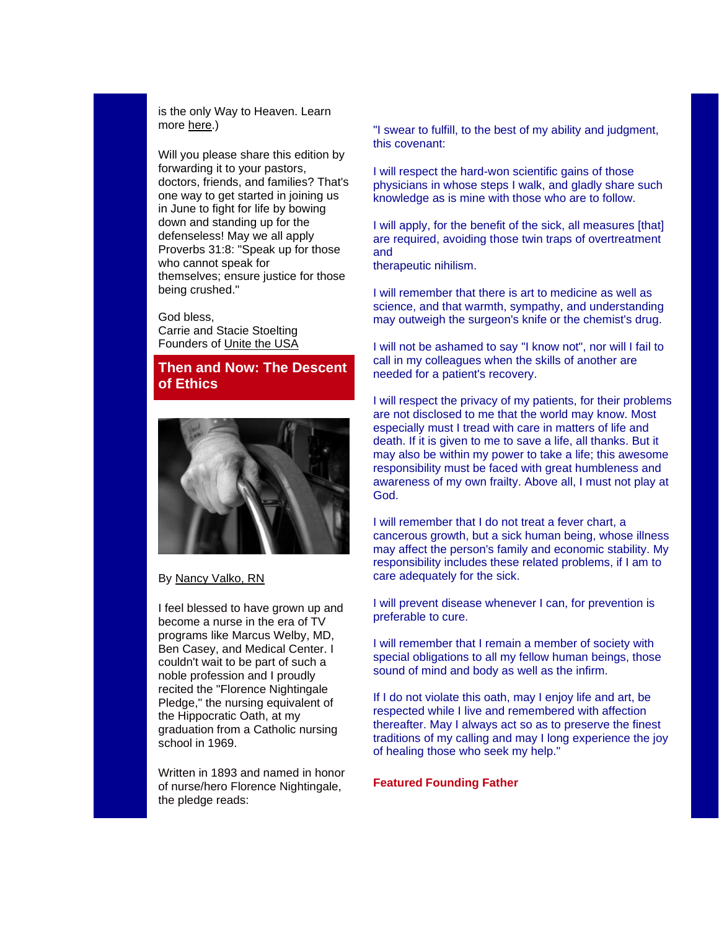is the only Way to Heaven. Learn more [here.](http://prayingpals.org/knowgod.html))

Will you please share this edition by forwarding it to your pastors, doctors, friends, and families? That's one way to get started in joining us in June to fight for life by bowing down and standing up for the defenseless! May we all apply Proverbs 31:8: "Speak up for those who cannot speak for themselves; ensure justice for those being crushed."

God bless, Carrie and Stacie Stoelting Founders of [Unite the USA](http://unitetheusa.org/index.html)

# **Then and Now: The Descent of Ethics**



#### By [Nancy Valko, RN](http://www.wf-f.org/bd-nvalko.html)

I feel blessed to have grown up and become a nurse in the era of TV programs like Marcus Welby, MD, Ben Casey, and Medical Center. I couldn't wait to be part of such a noble profession and I proudly recited the "Florence Nightingale Pledge," the nursing equivalent of the Hippocratic Oath, at my graduation from a Catholic nursing school in 1969.

Written in 1893 and named in honor of nurse/hero Florence Nightingale, the pledge reads:

"I swear to fulfill, to the best of my ability and judgment, this covenant:

I will respect the hard-won scientific gains of those physicians in whose steps I walk, and gladly share such knowledge as is mine with those who are to follow.

I will apply, for the benefit of the sick, all measures [that] are required, avoiding those twin traps of overtreatment and

therapeutic nihilism.

I will remember that there is art to medicine as well as science, and that warmth, sympathy, and understanding may outweigh the surgeon's knife or the chemist's drug.

I will not be ashamed to say "I know not", nor will I fail to call in my colleagues when the skills of another are needed for a patient's recovery.

I will respect the privacy of my patients, for their problems are not disclosed to me that the world may know. Most especially must I tread with care in matters of life and death. If it is given to me to save a life, all thanks. But it may also be within my power to take a life; this awesome responsibility must be faced with great humbleness and awareness of my own frailty. Above all, I must not play at God.

I will remember that I do not treat a fever chart, a cancerous growth, but a sick human being, whose illness may affect the person's family and economic stability. My responsibility includes these related problems, if I am to care adequately for the sick.

I will prevent disease whenever I can, for prevention is preferable to cure.

I will remember that I remain a member of society with special obligations to all my fellow human beings, those sound of mind and body as well as the infirm.

If I do not violate this oath, may I enjoy life and art, be respected while I live and remembered with affection thereafter. May I always act so as to preserve the finest traditions of my calling and may I long experience the joy of healing those who seek my help."

### **Featured Founding Father**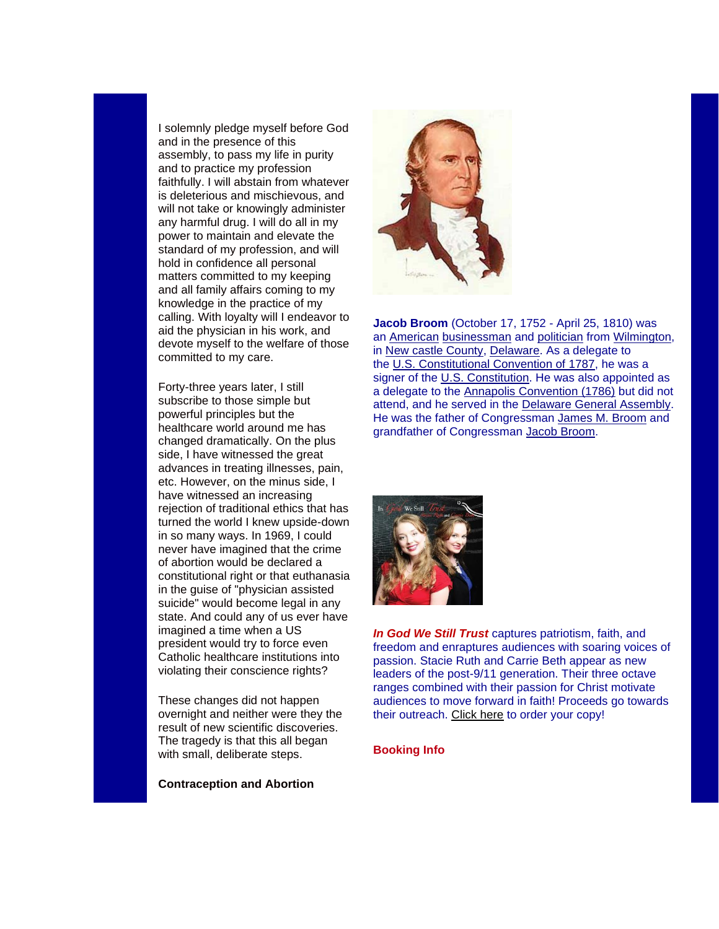I solemnly pledge myself before God and in the presence of this assembly, to pass my life in purity and to practice my profession faithfully. I will abstain from whatever is deleterious and mischievous, and will not take or knowingly administer any harmful drug. I will do all in my power to maintain and elevate the standard of my profession, and will hold in confidence all personal matters committed to my keeping and all family affairs coming to my knowledge in the practice of my calling. With loyalty will I endeavor to aid the physician in his work, and devote myself to the welfare of those committed to my care.

Forty-three years later, I still subscribe to those simple but powerful principles but the healthcare world around me has changed dramatically. On the plus side, I have witnessed the great advances in treating illnesses, pain, etc. However, on the minus side, I have witnessed an increasing rejection of traditional ethics that has turned the world I knew upside-down in so many ways. In 1969, I could never have imagined that the crime of abortion would be declared a constitutional right or that euthanasia in the guise of "physician assisted suicide" would become legal in any state. And could any of us ever have imagined a time when a US president would try to force even Catholic healthcare institutions into violating their conscience rights?

These changes did not happen overnight and neither were they the result of new scientific discoveries. The tragedy is that this all began with small, deliberate steps.

**Contraception and Abortion**



**Jacob Broom** (October 17, 1752 - April 25, 1810) was an [American](http://unitetheusa.org/id74.html) [businessman](http://unitetheusa.org/id74.html) and [politician](http://unitetheusa.org/id74.html) from [Wilmington,](http://unitetheusa.org/id74.html) in [New castle County,](http://unitetheusa.org/id74.html) [Delaware.](http://unitetheusa.org/id74.html) As a delegate to the [U.S. Constitutional Convention of 1787,](http://unitetheusa.org/id74.html) he was a signer of the [U.S. Constitution.](http://unitetheusa.org/id74.html) He was also appointed as a delegate to the [Annapolis Convention \(1786\)](http://unitetheusa.org/id74.html) but did not attend, and he served in the [Delaware General Assembly.](http://unitetheusa.org/id74.html) He was the father of Congressman [James M. Broom](http://unitetheusa.org/id74.html) and grandfather of Congressman [Jacob Broom.](http://unitetheusa.org/id74.html)



*In God We Still Trust* captures patriotism, faith, and freedom and enraptures audiences with soaring voices of passion. Stacie Ruth and Carrie Beth appear as new leaders of the post-9/11 generation. Their three octave ranges combined with their passion for Christ motivate audiences to move forward in faith! Proceeds go towards their outreach. [Click here](http://unitetheusa.org/id56.html) to order your copy!

### **Booking Info**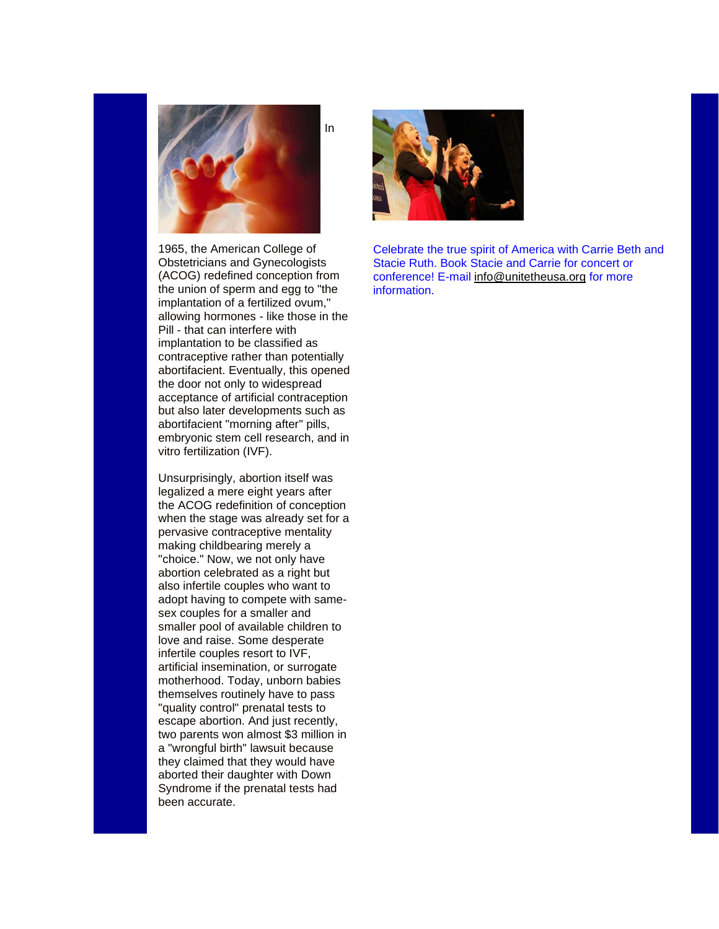

1965, the American College of Obstetricians and Gynecologists (ACOG) redefined conception from the union of sperm and egg to "the implantation of a fertilized ovum," allowing hormones - like those in the Pill - that can interfere with implantation to be classified as contraceptive rather than potentially abortifacient. Eventually, this opened the door not only to widespread acceptance of artificial contraception but also later developments such as abortifacient "morning after" pills, embryonic stem cell research, and in vitro fertilization (IVF).

Unsurprisingly, abortion itself was legalized a mere eight years after the ACOG redefinition of conception when the stage was already set for a pervasive contraceptive mentality making childbearing merely a "choice." Now, we not only have abortion celebrated as a right but also infertile couples who want to adopt having to compete with samesex couples for a smaller and smaller pool of available children to love and raise. Some desperate infertile couples resort to IVF, artificial insemination, or surrogate motherhood. Today, unborn babies themselves routinely have to pass "quality control" prenatal tests to escape abortion. And just recently, two parents won almost \$3 million in a "wrongful birth" lawsuit because they claimed that they would have aborted their daughter with Down Syndrome if the prenatal tests had been accurate.



Celebrate the true spirit of America with Carrie Beth and Stacie Ruth. Book Stacie and Carrie for concert or conference! E-mail [info@unitetheusa.org](mailto:info@unitetheusa.org) for more information.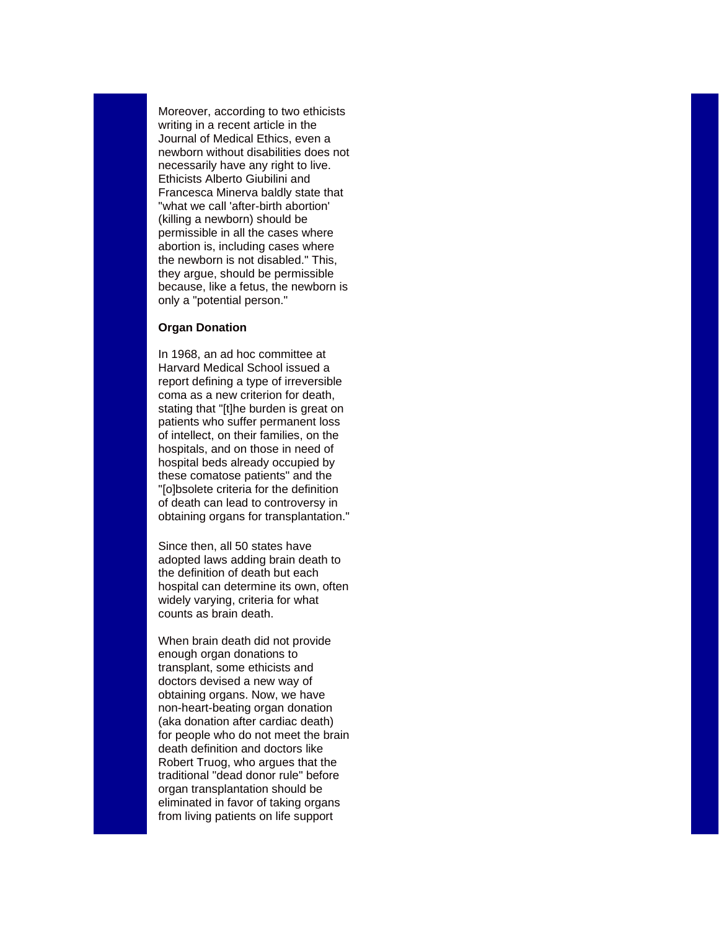Moreover, according to two ethicists writing in a recent article in the Journal of Medical Ethics, even a newborn without disabilities does not necessarily have any right to live. Ethicists Alberto Giubilini and Francesca Minerva baldly state that "what we call 'after-birth abortion' (killing a newborn) should be permissible in all the cases where abortion is, including cases where the newborn is not disabled." This, they argue, should be permissible because, like a fetus, the newborn is only a "potential person."

### **Organ Donation**

In 1968, an ad hoc committee at Harvard Medical School issued a report defining a type of irreversible coma as a new criterion for death, stating that "[t]he burden is great on patients who suffer permanent loss of intellect, on their families, on the hospitals, and on those in need of hospital beds already occupied by these comatose patients" and the "[o]bsolete criteria for the definition of death can lead to controversy in obtaining organs for transplantation."

Since then, all 50 states have adopted laws adding brain death to the definition of death but each hospital can determine its own, often widely varying, criteria for what counts as brain death.

When brain death did not provide enough organ donations to transplant, some ethicists and doctors devised a new way of obtaining organs. Now, we have non-heart-beating organ donation (aka donation after cardiac death) for people who do not meet the brain death definition and doctors like Robert Truog, who argues that the traditional "dead donor rule" before organ transplantation should be eliminated in favor of taking organs from living patients on life support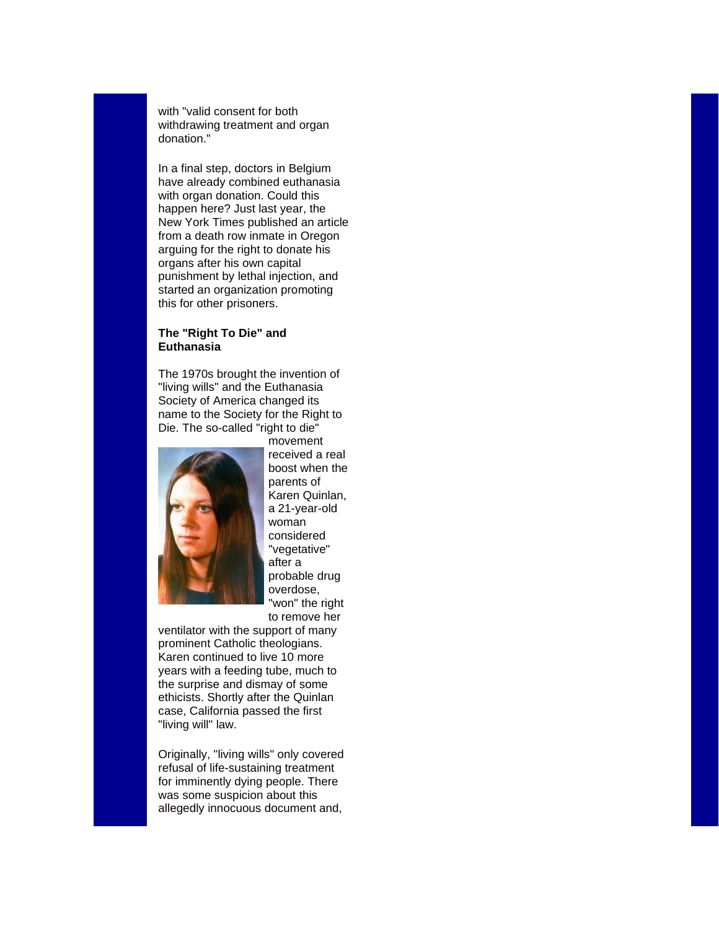with "valid consent for both withdrawing treatment and organ donation."

In a final step, doctors in Belgium have already combined euthanasia with organ donation. Could this happen here? Just last year, the New York Times published an article from a death row inmate in Oregon arguing for the right to donate his organs after his own capital punishment by lethal injection, and started an organization promoting this for other prisoners.

# **The "Right To Die" and Euthanasia**

The 1970s brought the invention of "living wills" and the Euthanasia Society of America changed its name to the Society for the Right to Die. The so-called "right to die"



movement received a real boost when the parents of Karen Quinlan, a 21-year-old woman considered "vegetative" after a probable drug overdose, "won" the right to remove her

ventilator with the support of many prominent Catholic theologians. Karen continued to live 10 more years with a feeding tube, much to the surprise and dismay of some ethicists. Shortly after the Quinlan case, California passed the first "living will" law.

Originally, "living wills" only covered refusal of life-sustaining treatment for imminently dying people. There was some suspicion about this allegedly innocuous document and,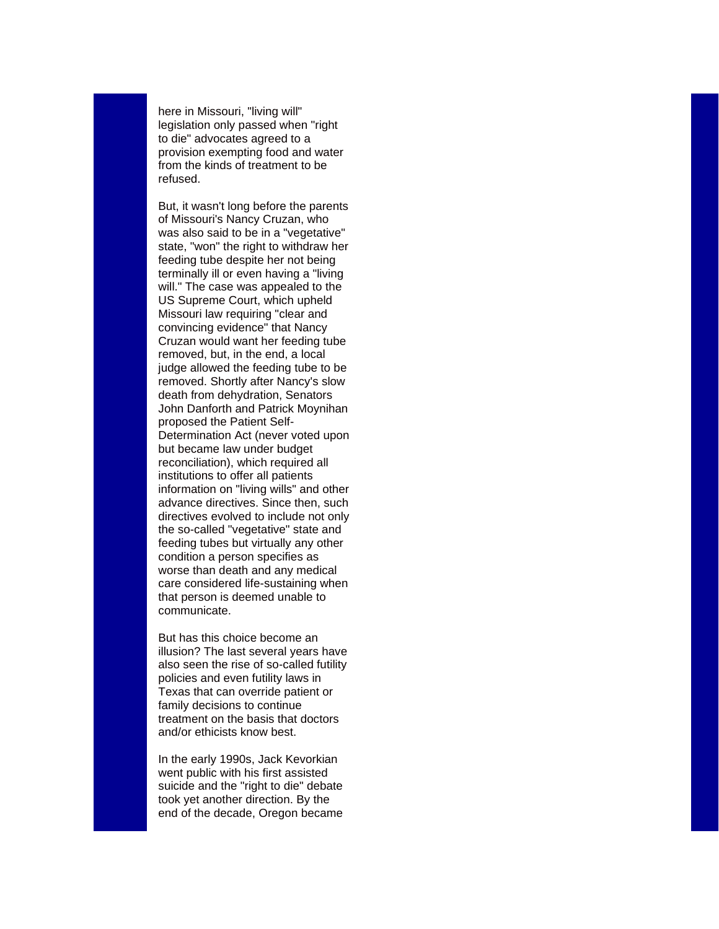here in Missouri, "living will" legislation only passed when "right to die" advocates agreed to a provision exempting food and water from the kinds of treatment to be refused.

But, it wasn't long before the parents of Missouri's Nancy Cruzan, who was also said to be in a "vegetative" state, "won" the right to withdraw her feeding tube despite her not being terminally ill or even having a "living will." The case was appealed to the US Supreme Court, which upheld Missouri law requiring "clear and convincing evidence" that Nancy Cruzan would want her feeding tube removed, but, in the end, a local judge allowed the feeding tube to be removed. Shortly after Nancy's slow death from dehydration, Senators John Danforth and Patrick Moynihan proposed the Patient Self-Determination Act (never voted upon but became law under budget reconciliation), which required all institutions to offer all patients information on "living wills" and other advance directives. Since then, such directives evolved to include not only the so-called "vegetative" state and feeding tubes but virtually any other condition a person specifies as worse than death and any medical care considered life-sustaining when that person is deemed unable to communicate.

But has this choice become an illusion? The last several years have also seen the rise of so-called futility policies and even futility laws in Texas that can override patient or family decisions to continue treatment on the basis that doctors and/or ethicists know best.

In the early 1990s, Jack Kevorkian went public with his first assisted suicide and the "right to die" debate took yet another direction. By the end of the decade, Oregon became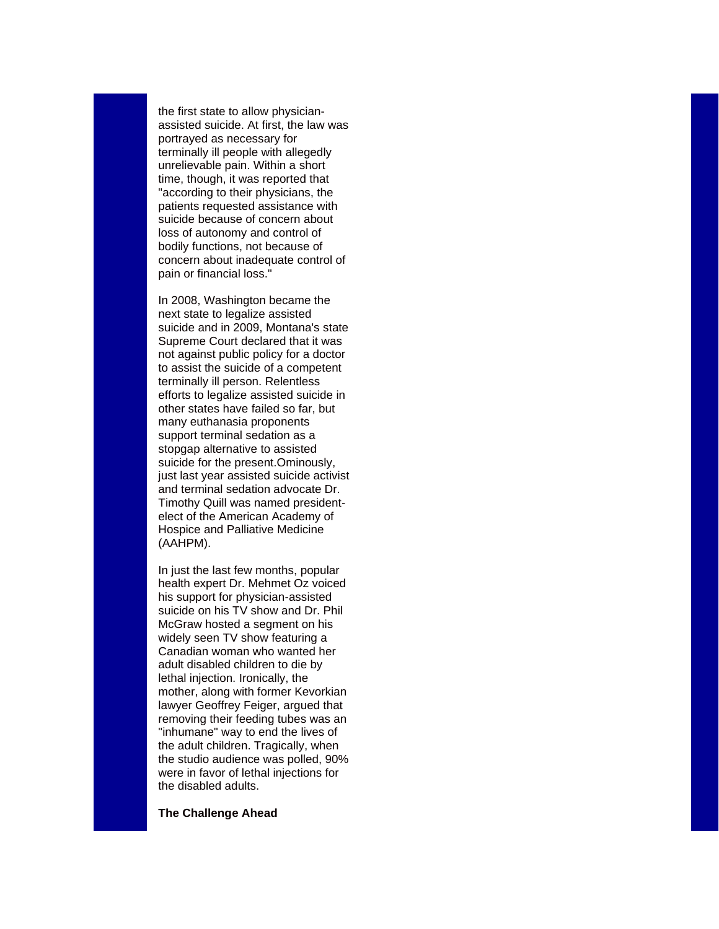the first state to allow physicianassisted suicide. At first, the law was portrayed as necessary for terminally ill people with allegedly unrelievable pain. Within a short time, though, it was reported that "according to their physicians, the patients requested assistance with suicide because of concern about loss of autonomy and control of bodily functions, not because of concern about inadequate control of pain or financial loss."

In 2008, Washington became the next state to legalize assisted suicide and in 2009, Montana's state Supreme Court declared that it was not against public policy for a doctor to assist the suicide of a competent terminally ill person. Relentless efforts to legalize assisted suicide in other states have failed so far, but many euthanasia proponents support terminal sedation as a stopgap alternative to assisted suicide for the present.Ominously, just last year assisted suicide activist and terminal sedation advocate Dr. Timothy Quill was named presidentelect of the American Academy of Hospice and Palliative Medicine (AAHPM).

In just the last few months, popular health expert Dr. Mehmet Oz voiced his support for physician-assisted suicide on his TV show and Dr. Phil McGraw hosted a segment on his widely seen TV show featuring a Canadian woman who wanted her adult disabled children to die by lethal injection. Ironically, the mother, along with former Kevorkian lawyer Geoffrey Feiger, argued that removing their feeding tubes was an "inhumane" way to end the lives of the adult children. Tragically, when the studio audience was polled, 90% were in favor of lethal injections for the disabled adults.

**The Challenge Ahead**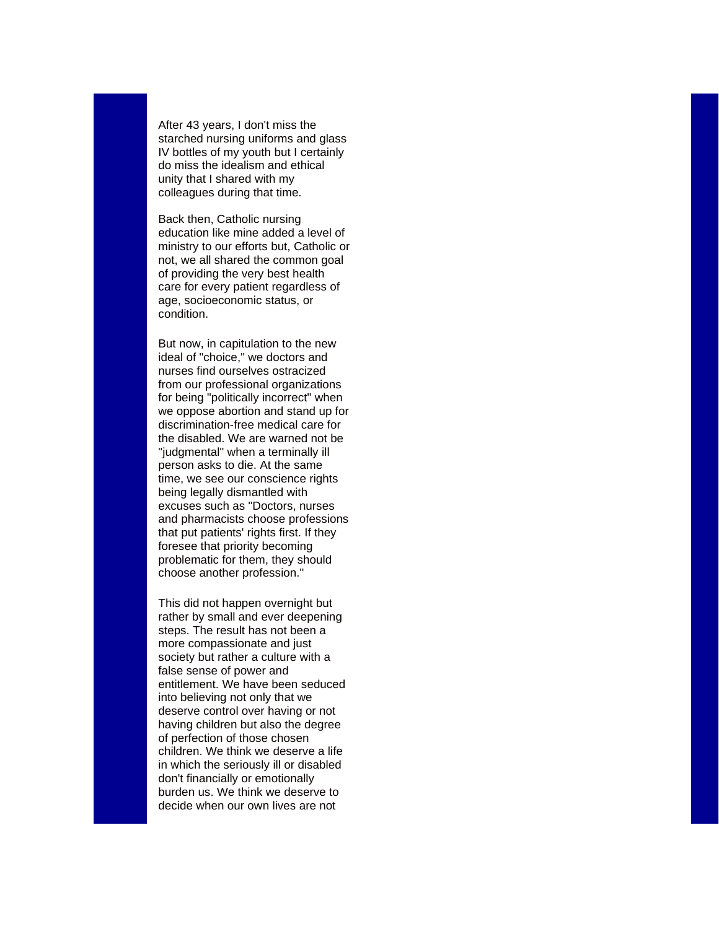After 43 years, I don't miss the starched nursing uniforms and glass IV bottles of my youth but I certainly do miss the idealism and ethical unity that I shared with my colleagues during that time.

Back then, Catholic nursing education like mine added a level of ministry to our efforts but, Catholic or not, we all shared the common goal of providing the very best health care for every patient regardless of age, socioeconomic status, or condition.

But now, in capitulation to the new ideal of "choice," we doctors and nurses find ourselves ostracized from our professional organizations for being "politically incorrect" when we oppose abortion and stand up for discrimination-free medical care for the disabled. We are warned not be "judgmental" when a terminally ill person asks to die. At the same time, we see our conscience rights being legally dismantled with excuses such as "Doctors, nurses and pharmacists choose professions that put patients' rights first. If they foresee that priority becoming problematic for them, they should choose another profession."

This did not happen overnight but rather by small and ever deepening steps. The result has not been a more compassionate and just society but rather a culture with a false sense of power and entitlement. We have been seduced into believing not only that we deserve control over having or not having children but also the degree of perfection of those chosen children. We think we deserve a life in which the seriously ill or disabled don't financially or emotionally burden us. We think we deserve to decide when our own lives are not